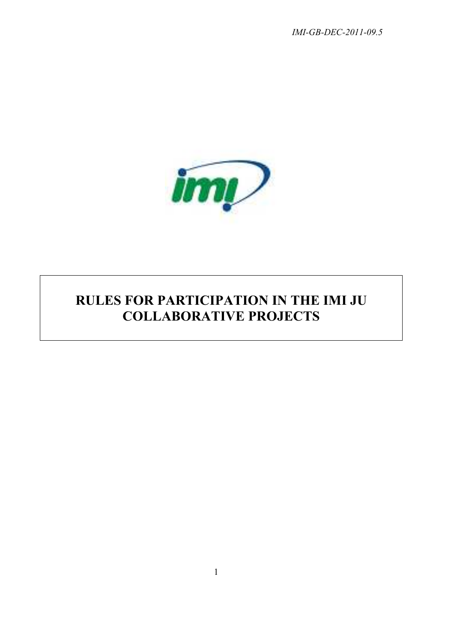*IMI-GB-DEC-2011-09.5* 



# **RULES FOR PARTICIPATION IN THE IMI JU COLLABORATIVE PROJECTS**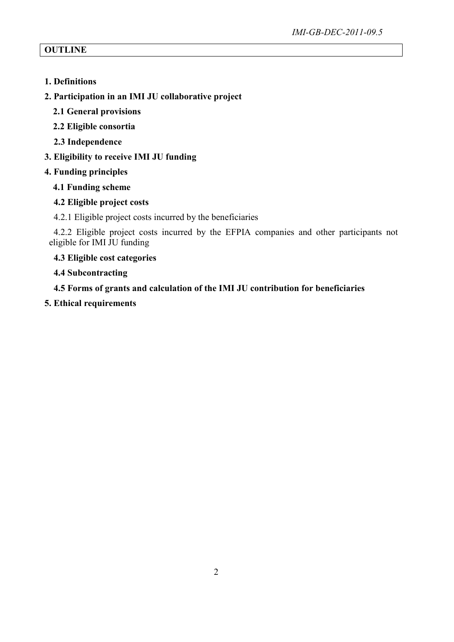## **OUTLINE**

- **1. Definitions**
- **2. Participation in an IMI JU collaborative project**
	- **2.1 General provisions**
	- **2.2 Eligible consortia**
	- **2.3 Independence**
- **3. Eligibility to receive IMI JU funding**
- **4. Funding principles**
	- **4.1 Funding scheme**

## **4.2 Eligible project costs**

4.2.1 Eligible project costs incurred by the beneficiaries

4.2.2 Eligible project costs incurred by the EFPIA companies and other participants not eligible for IMI JU funding

## **4.3 Eligible cost categories**

## **4.4 Subcontracting**

**4.5 Forms of grants and calculation of the IMI JU contribution for beneficiaries** 

**5. Ethical requirements**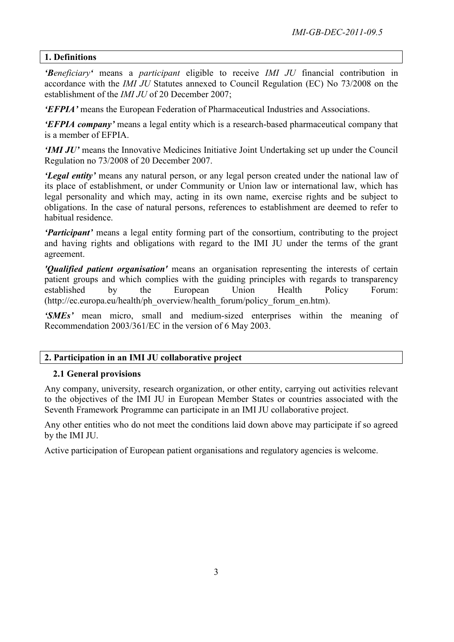## **1. Definitions**

*'Beneficiary'* means a *participant* eligible to receive *IMI JU* financial contribution in accordance with the *IMI JU* Statutes annexed to Council Regulation (EC) No 73/2008 on the establishment of the *IMI JU* of 20 December 2007;

*'EFPIA'* means the European Federation of Pharmaceutical Industries and Associations.

*'EFPIA company'* means a legal entity which is a research-based pharmaceutical company that is a member of EFPIA.

*'IMI JU'* means the Innovative Medicines Initiative Joint Undertaking set up under the Council Regulation no 73/2008 of 20 December 2007.

*'Legal entity'* means any natural person, or any legal person created under the national law of its place of establishment, or under Community or Union law or international law, which has legal personality and which may, acting in its own name, exercise rights and be subject to obligations. In the case of natural persons, references to establishment are deemed to refer to habitual residence.

*'Participant'* means a legal entity forming part of the consortium, contributing to the project and having rights and obligations with regard to the IMI JU under the terms of the grant agreement.

*'Qualified patient organisation'* means an organisation representing the interests of certain patient groups and which complies with the guiding principles with regards to transparency established by the European Union Health Policy Forum: (http://ec.europa.eu/health/ph\_overview/health\_forum/policy\_forum\_en.htm).

*'SMEs'* mean micro, small and medium-sized enterprises within the meaning of Recommendation 2003/361/EC in the version of 6 May 2003.

## **2. Participation in an IMI JU collaborative project**

#### **2.1 General provisions**

Any company, university, research organization, or other entity, carrying out activities relevant to the objectives of the IMI JU in European Member States or countries associated with the Seventh Framework Programme can participate in an IMI JU collaborative project.

Any other entities who do not meet the conditions laid down above may participate if so agreed by the IMI JU.

Active participation of European patient organisations and regulatory agencies is welcome.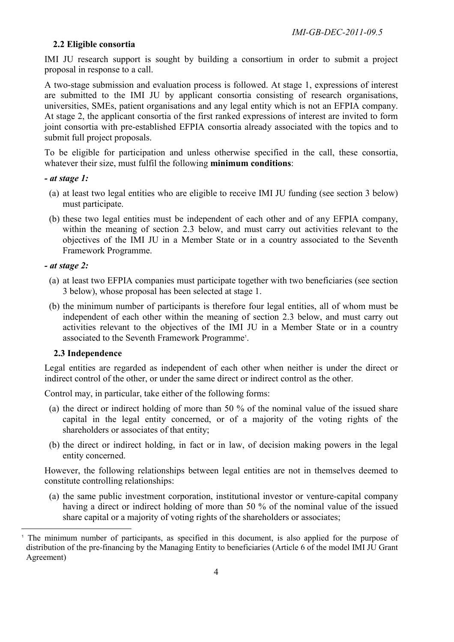## **2.2 Eligible consortia**

IMI JU research support is sought by building a consortium in order to submit a project proposal in response to a call.

A two-stage submission and evaluation process is followed. At stage 1, expressions of interest are submitted to the IMI JU by applicant consortia consisting of research organisations, universities, SMEs, patient organisations and any legal entity which is not an EFPIA company. At stage 2, the applicant consortia of the first ranked expressions of interest are invited to form joint consortia with pre-established EFPIA consortia already associated with the topics and to submit full project proposals.

To be eligible for participation and unless otherwise specified in the call, these consortia, whatever their size, must fulfil the following **minimum conditions**:

#### *- at stage 1:*

- (a) at least two legal entities who are eligible to receive IMI JU funding (see section 3 below) must participate.
- (b) these two legal entities must be independent of each other and of any EFPIA company, within the meaning of section 2.3 below, and must carry out activities relevant to the objectives of the IMI JU in a Member State or in a country associated to the Seventh Framework Programme.

#### *- at stage 2:*

 $\overline{a}$ 

- (a) at least two EFPIA companies must participate together with two beneficiaries (see section 3 below), whose proposal has been selected at stage 1.
- (b) the minimum number of participants is therefore four legal entities, all of whom must be independent of each other within the meaning of section 2.3 below, and must carry out activities relevant to the objectives of the IMI JU in a Member State or in a country associated to the Seventh Framework Programme<sup>1</sup>.

#### **2.3 Independence**

Legal entities are regarded as independent of each other when neither is under the direct or indirect control of the other, or under the same direct or indirect control as the other.

Control may, in particular, take either of the following forms:

- (a) the direct or indirect holding of more than 50 % of the nominal value of the issued share capital in the legal entity concerned, or of a majority of the voting rights of the shareholders or associates of that entity;
- (b) the direct or indirect holding, in fact or in law, of decision making powers in the legal entity concerned.

However, the following relationships between legal entities are not in themselves deemed to constitute controlling relationships:

(a) the same public investment corporation, institutional investor or venture-capital company having a direct or indirect holding of more than 50 % of the nominal value of the issued share capital or a majority of voting rights of the shareholders or associates;

<sup>&</sup>lt;sup>1</sup> The minimum number of participants, as specified in this document, is also applied for the purpose of distribution of the pre-financing by the Managing Entity to beneficiaries (Article 6 of the model IMI JU Grant Agreement)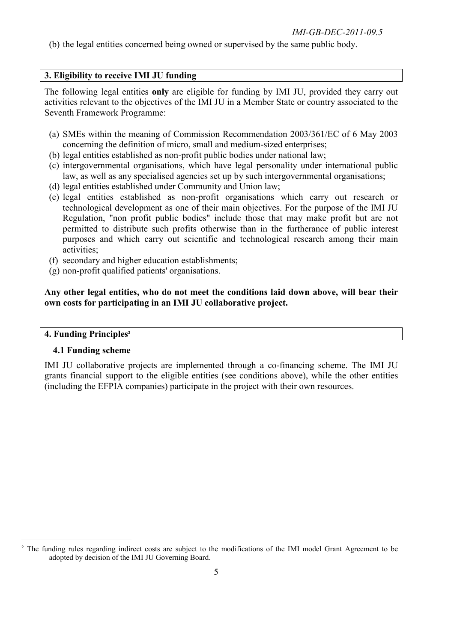(b) the legal entities concerned being owned or supervised by the same public body.

#### **3. Eligibility to receive IMI JU funding**

The following legal entities **only** are eligible for funding by IMI JU, provided they carry out activities relevant to the objectives of the IMI JU in a Member State or country associated to the Seventh Framework Programme:

- (a) SMEs within the meaning of Commission Recommendation 2003/361/EC of 6 May 2003 concerning the definition of micro, small and medium-sized enterprises;
- (b) legal entities established as non-profit public bodies under national law;
- (c) intergovernmental organisations, which have legal personality under international public law, as well as any specialised agencies set up by such intergovernmental organisations;
- (d) legal entities established under Community and Union law;
- (e) legal entities established as non-profit organisations which carry out research or technological development as one of their main objectives. For the purpose of the IMI JU Regulation, "non profit public bodies" include those that may make profit but are not permitted to distribute such profits otherwise than in the furtherance of public interest purposes and which carry out scientific and technological research among their main activities;
- (f) secondary and higher education establishments;
- (g) non-profit qualified patients' organisations.

**Any other legal entities, who do not meet the conditions laid down above, will bear their own costs for participating in an IMI JU collaborative project.** 

#### **4. Funding Principles<sup>2</sup>**

#### **4.1 Funding scheme**

IMI JU collaborative projects are implemented through a co-financing scheme. The IMI JU grants financial support to the eligible entities (see conditions above), while the other entities (including the EFPIA companies) participate in the project with their own resources.

 $\overline{a}$ <sup>2</sup> The funding rules regarding indirect costs are subject to the modifications of the IMI model Grant Agreement to be adopted by decision of the IMI JU Governing Board.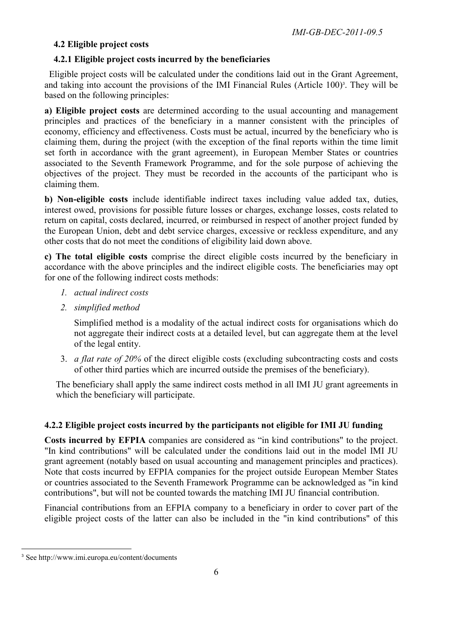## **4.2 Eligible project costs**

## **4.2.1 Eligible project costs incurred by the beneficiaries**

Eligible project costs will be calculated under the conditions laid out in the Grant Agreement, and taking into account the provisions of the IMI Financial Rules (Article 100)<sup>3</sup>. They will be based on the following principles:

**a) Eligible project costs** are determined according to the usual accounting and management principles and practices of the beneficiary in a manner consistent with the principles of economy, efficiency and effectiveness. Costs must be actual, incurred by the beneficiary who is claiming them, during the project (with the exception of the final reports within the time limit set forth in accordance with the grant agreement), in European Member States or countries associated to the Seventh Framework Programme, and for the sole purpose of achieving the objectives of the project. They must be recorded in the accounts of the participant who is claiming them.

**b) Non-eligible costs** include identifiable indirect taxes including value added tax, duties, interest owed, provisions for possible future losses or charges, exchange losses, costs related to return on capital, costs declared, incurred, or reimbursed in respect of another project funded by the European Union, debt and debt service charges, excessive or reckless expenditure, and any other costs that do not meet the conditions of eligibility laid down above.

**c) The total eligible costs** comprise the direct eligible costs incurred by the beneficiary in accordance with the above principles and the indirect eligible costs. The beneficiaries may opt for one of the following indirect costs methods:

- *1. actual indirect costs*
- *2. simplified method*

Simplified method is a modality of the actual indirect costs for organisations which do not aggregate their indirect costs at a detailed level, but can aggregate them at the level of the legal entity.

3. *a flat rate of 20%* of the direct eligible costs (excluding subcontracting costs and costs of other third parties which are incurred outside the premises of the beneficiary).

The beneficiary shall apply the same indirect costs method in all IMI JU grant agreements in which the beneficiary will participate.

## **4.2.2 Eligible project costs incurred by the participants not eligible for IMI JU funding**

**Costs incurred by EFPIA** companies are considered as "in kind contributions" to the project. "In kind contributions" will be calculated under the conditions laid out in the model IMI JU grant agreement (notably based on usual accounting and management principles and practices). Note that costs incurred by EFPIA companies for the project outside European Member States or countries associated to the Seventh Framework Programme can be acknowledged as "in kind contributions", but will not be counted towards the matching IMI JU financial contribution.

Financial contributions from an EFPIA company to a beneficiary in order to cover part of the eligible project costs of the latter can also be included in the "in kind contributions" of this

 $\overline{a}$ <sup>3</sup> See http://www.imi.europa.eu/content/documents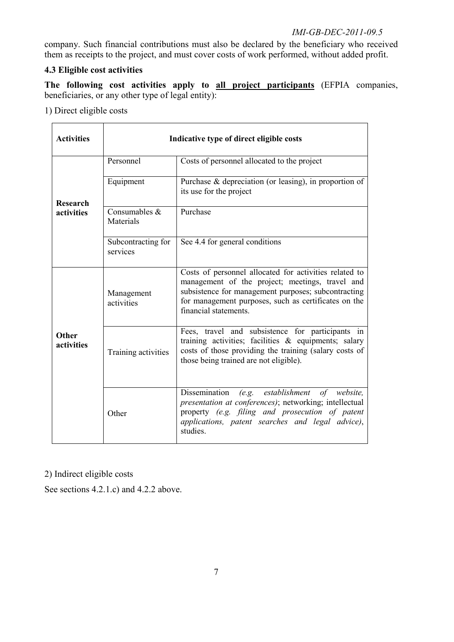## *IMI-GB-DEC-2011-09.5*

company. Such financial contributions must also be declared by the beneficiary who received them as receipts to the project, and must cover costs of work performed, without added profit.

## **4.3 Eligible cost activities**

**The following cost activities apply to all project participants** (EFPIA companies, beneficiaries, or any other type of legal entity):

1) Direct eligible costs

| <b>Activities</b>   | Indicative type of direct eligible costs |                                                                                                                                                                                                                                                   |
|---------------------|------------------------------------------|---------------------------------------------------------------------------------------------------------------------------------------------------------------------------------------------------------------------------------------------------|
|                     | Personnel                                | Costs of personnel allocated to the project                                                                                                                                                                                                       |
| <b>Research</b>     | Equipment                                | Purchase $\&$ depreciation (or leasing), in proportion of<br>its use for the project                                                                                                                                                              |
| activities          | Consumables &<br>Materials               | Purchase                                                                                                                                                                                                                                          |
|                     | Subcontracting for<br>services           | See 4.4 for general conditions                                                                                                                                                                                                                    |
|                     | Management<br>activities                 | Costs of personnel allocated for activities related to<br>management of the project; meetings, travel and<br>subsistence for management purposes; subcontracting<br>for management purposes, such as certificates on the<br>financial statements. |
| Other<br>activities | Training activities                      | Fees, travel and subsistence for participants in<br>training activities; facilities $\&$ equipments; salary<br>costs of those providing the training (salary costs of<br>those being trained are not eligible).                                   |
|                     | Other                                    | Dissemination<br>(e.g. establishment of website,<br>presentation at conferences); networking; intellectual<br>property (e.g. filing and prosecution of patent<br>applications, patent searches and legal advice),<br>studies.                     |

2) Indirect eligible costs

See sections 4.2.1.c) and 4.2.2 above.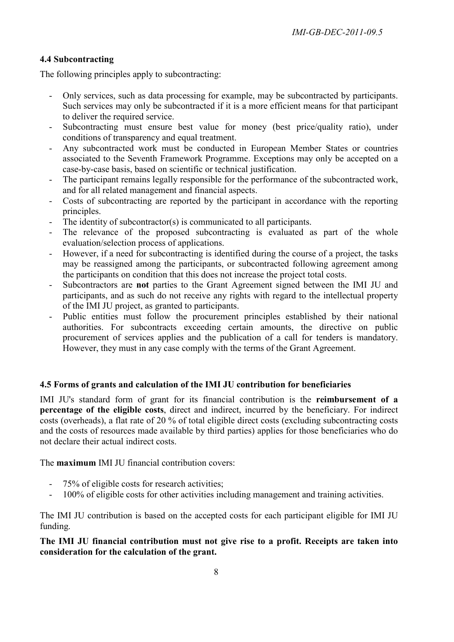## **4.4 Subcontracting**

The following principles apply to subcontracting:

- Only services, such as data processing for example, may be subcontracted by participants. Such services may only be subcontracted if it is a more efficient means for that participant to deliver the required service.
- Subcontracting must ensure best value for money (best price/quality ratio), under conditions of transparency and equal treatment.
- Any subcontracted work must be conducted in European Member States or countries associated to the Seventh Framework Programme. Exceptions may only be accepted on a case-by-case basis, based on scientific or technical justification.
- The participant remains legally responsible for the performance of the subcontracted work, and for all related management and financial aspects.
- Costs of subcontracting are reported by the participant in accordance with the reporting principles.
- The identity of subcontractor(s) is communicated to all participants.
- The relevance of the proposed subcontracting is evaluated as part of the whole evaluation/selection process of applications.
- However, if a need for subcontracting is identified during the course of a project, the tasks may be reassigned among the participants, or subcontracted following agreement among the participants on condition that this does not increase the project total costs.
- Subcontractors are **not** parties to the Grant Agreement signed between the IMI JU and participants, and as such do not receive any rights with regard to the intellectual property of the IMI JU project, as granted to participants.
- Public entities must follow the procurement principles established by their national authorities. For subcontracts exceeding certain amounts, the directive on public procurement of services applies and the publication of a call for tenders is mandatory. However, they must in any case comply with the terms of the Grant Agreement.

## **4.5 Forms of grants and calculation of the IMI JU contribution for beneficiaries**

IMI JU's standard form of grant for its financial contribution is the **reimbursement of a percentage of the eligible costs**, direct and indirect, incurred by the beneficiary. For indirect costs (overheads), a flat rate of 20 % of total eligible direct costs (excluding subcontracting costs and the costs of resources made available by third parties) applies for those beneficiaries who do not declare their actual indirect costs.

The **maximum** IMI JU financial contribution covers:

- 75% of eligible costs for research activities;
- 100% of eligible costs for other activities including management and training activities.

The IMI JU contribution is based on the accepted costs for each participant eligible for IMI JU funding.

**The IMI JU financial contribution must not give rise to a profit. Receipts are taken into consideration for the calculation of the grant.**